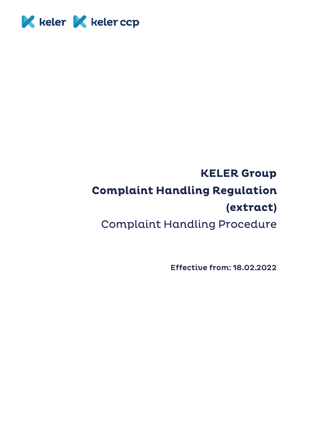

# **KELER Group Complaint Handling Regulation** (extract) **Complaint Handling Procedure**

**Effective from: 18.02.2022**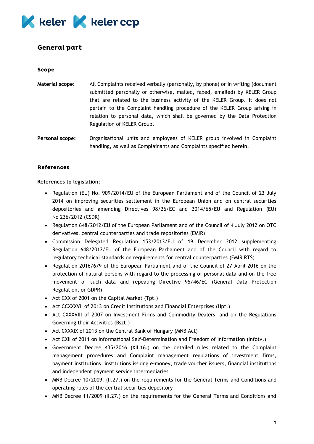

# **General part**

#### **Scope**

**Material scope:** All Complaints received verbally (personally, by phone) or in writing (document submitted personally or otherwise, mailed, faxed, emailed) by KELER Group that are related to the business activity of the KELER Group. It does not pertain to the Complaint handling procedure of the KELER Group arising in relation to personal data, which shall be governed by the Data Protection Regulation of KELER Group.

**Personal scope:** Organisational units and employees of KELER group involved in Complaint handling, as well as Complainants and Complaints specified herein.

### **References**

#### **References to legislation:**

- Regulation (EU) No. 909/2014/EU of the European Parliament and of the Council of 23 July 2014 on improving securities settlement in the European Union and on central securities depositories and amending Directives 98/26/EC and 2014/65/EU and Regulation (EU) No 236/2012 (CSDR)
- Regulation 648/2012/EU of the European Parliament and of the Council of 4 July 2012 on OTC derivatives, central counterparties and trade repositories (EMIR)
- Commission Delegated Regulation 153/2013/EU of 19 December 2012 supplementing Regulation 648/2012/EU of the European Parliament and of the Council with regard to regulatory technical standards on requirements for central counterparties (EMIR RTS)
- Regulation 2016/679 of the European Parliament and of the Council of 27 April 2016 on the protection of natural persons with regard to the processing of personal data and on the free movement of such data and repealing Directive 95/46/EC (General Data Protection Regulation, or GDPR)
- Act CXX of 2001 on the Capital Market (Tpt.)
- Act CCXXXVII of 2013 on Credit Institutions and Financial Enterprises (Hpt.)
- Act CXXXVIII of 2007 on Investment Firms and Commodity Dealers, and on the Regulations Governing their Activities (Bszt.)
- Act CXXXIX of 2013 on the Central Bank of Hungary (MNB Act)
- Act CXII of 2011 on Informational Self-Determination and Freedom of Information (Infotv.)
- Government Decree 435/2016 (XII.16.) on the detailed rules related to the Complaint management procedures and Complaint management regulations of investment firms, payment institutions, institutions issuing e-money, trade voucher issuers, financial institutions and independent payment service intermediaries
- MNB Decree 10/2009. (II.27.) on the requirements for the General Terms and Conditions and operating rules of the central securities depository
- MNB Decree 11/2009 (II.27.) on the requirements for the General Terms and Conditions and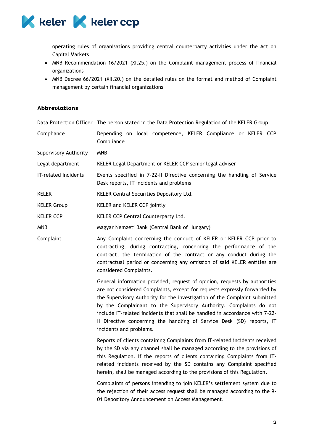

operating rules of organisations providing central counterparty activities under the Act on Capital Markets

- MNB Recommendation 16/2021 (XI.25.) on the Complaint management process of financial organizations
- MNB Decree 66/2021 (XII.20.) on the detailed rules on the format and method of Complaint management by certain financial organizations

## **Abbreviations**

|                              | Data Protection Officer The person stated in the Data Protection Regulation of the KELER Group                                                                                                                                                                                                                                                                                                                                                                                                |  |
|------------------------------|-----------------------------------------------------------------------------------------------------------------------------------------------------------------------------------------------------------------------------------------------------------------------------------------------------------------------------------------------------------------------------------------------------------------------------------------------------------------------------------------------|--|
| Compliance                   | Depending on local competence, KELER Compliance or KELER CCP<br>Compliance                                                                                                                                                                                                                                                                                                                                                                                                                    |  |
| <b>Supervisory Authority</b> | <b>MNB</b>                                                                                                                                                                                                                                                                                                                                                                                                                                                                                    |  |
| Legal department             | KELER Legal Department or KELER CCP senior legal adviser                                                                                                                                                                                                                                                                                                                                                                                                                                      |  |
| IT-related Incidents         | Events specified in 7-22-II Directive concerning the handling of Service<br>Desk reports, IT incidents and problems                                                                                                                                                                                                                                                                                                                                                                           |  |
| <b>KELER</b>                 | KELER Central Securities Depository Ltd.                                                                                                                                                                                                                                                                                                                                                                                                                                                      |  |
| <b>KELER Group</b>           | KELER and KELER CCP jointly                                                                                                                                                                                                                                                                                                                                                                                                                                                                   |  |
| <b>KELER CCP</b>             | KELER CCP Central Counterparty Ltd.                                                                                                                                                                                                                                                                                                                                                                                                                                                           |  |
| MNB                          | Magyar Nemzeti Bank (Central Bank of Hungary)                                                                                                                                                                                                                                                                                                                                                                                                                                                 |  |
| Complaint                    | Any Complaint concerning the conduct of KELER or KELER CCP prior to<br>contracting, during contracting, concerning the performance of the<br>contract, the termination of the contract or any conduct during the<br>contractual period or concerning any omission of said KELER entities are<br>considered Complaints.                                                                                                                                                                        |  |
|                              | General information provided, request of opinion, requests by authorities<br>are not considered Complaints, except for requests expressly forwarded by<br>the Supervisory Authority for the investigation of the Complaint submitted<br>by the Complainant to the Supervisory Authority. Complaints do not<br>include IT-related incidents that shall be handled in accordance with 7-22-<br>Il Directive concerning the handling of Service Desk (SD) reports, IT<br>incidents and problems. |  |
|                              | Reports of clients containing Complaints from IT-related incidents received<br>by the SD via any channel shall be managed according to the provisions of<br>this Regulation. If the reports of clients containing Complaints from IT-<br>related incidents received by the SD contains any Complaint specified<br>herein, shall be managed according to the provisions of this Regulation.                                                                                                    |  |
|                              | Complaints of persons intending to join KELER's settlement system due to<br>the rejection of their access request shall be managed according to the 9-<br>01 Depository Announcement on Access Management.                                                                                                                                                                                                                                                                                    |  |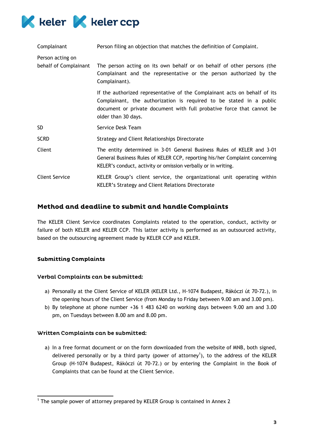

| Complainant                               | Person filing an objection that matches the definition of Complaint.                                                                                                                                                                             |
|-------------------------------------------|--------------------------------------------------------------------------------------------------------------------------------------------------------------------------------------------------------------------------------------------------|
| Person acting on<br>behalf of Complainant | The person acting on its own behalf or on behalf of other persons (the<br>Complainant and the representative or the person authorized by the<br>Complainant).                                                                                    |
|                                           | If the authorized representative of the Complainant acts on behalf of its<br>Complainant, the authorization is required to be stated in a public<br>document or private document with full probative force that cannot be<br>older than 30 days. |
| SD                                        | Service Desk Team                                                                                                                                                                                                                                |
| <b>SCRD</b>                               | Strategy and Client Relationships Directorate                                                                                                                                                                                                    |
| Client                                    | The entity determined in 3-01 General Business Rules of KELER and 3-01<br>General Business Rules of KELER CCP, reporting his/her Complaint concerning<br>KELER's conduct, activity or omission verbally or in writing.                           |
| <b>Client Service</b>                     | KELER Group's client service, the organizational unit operating within<br>KELER's Strategy and Client Relations Directorate                                                                                                                      |

# Method and deadline to submit and handle Complaints

The KELER Client Service coordinates Complaints related to the operation, conduct, activity or failure of both KELER and KELER CCP. This latter activity is performed as an outsourced activity, based on the outsourcing agreement made by KELER CCP and KELER.

## **Submitting Complaints**

## Verbal Complaints can be submitted:

- a) Personally at the Client Service of KELER (KELER Ltd., H-1074 Budapest, Rákóczi út 70-72.), in the opening hours of the Client Service (from Monday to Friday between 9.00 am and 3.00 pm).
- b) By telephone at phone number +36 1 483 6240 on working days between 9.00 am and 3.00 pm, on Tuesdays between 8.00 am and 8.00 pm.

#### Written Complaints can be submitted:

a) In a free format document or on the form downloaded from the website of MNB, both signed, delivered personally or by a third party (power of attorney<sup>1</sup>), to the address of the KELER Group (H-1074 Budapest, Rákóczi út 70-72.) or by entering the Complaint in the Book of Complaints that can be found at the Client Service.

<sup>1</sup> <sup>1</sup> The sample power of attorney prepared by KELER Group is contained in Annex 2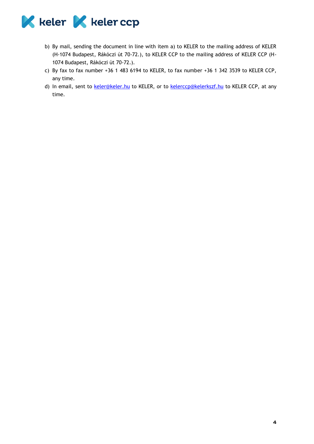

- b) By mail, sending the document in line with item a) to KELER to the mailing address of KELER (H-1074 Budapest, Rákóczi út 70-72.), to KELER CCP to the mailing address of KELER CCP (H-1074 Budapest, Rákóczi út 70-72.).
- c) By fax to fax number +36 1 483 6194 to KELER, to fax number +36 1 342 3539 to KELER CCP, any time.
- d) In email, sent to [keler@keler.hu](mailto:keler@keler.hu) to KELER, or to [kelerccp@kelerkszf.hu](mailto:kelerccp@kelerkszf.hu) to KELER CCP, at any time.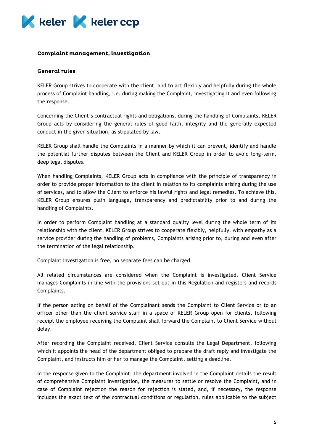

#### Complaint management, investigation

#### **General rules**

KELER Group strives to cooperate with the client, and to act flexibly and helpfully during the whole process of Complaint handling, i.e. during making the Complaint, investigating it and even following the response.

Concerning the Client's contractual rights and obligations, during the handling of Complaints, KELER Group acts by considering the general rules of good faith, integrity and the generally expected conduct in the given situation, as stipulated by law.

KELER Group shall handle the Complaints in a manner by which it can prevent, identify and handle the potential further disputes between the Client and KELER Group in order to avoid long-term, deep legal disputes.

When handling Complaints, KELER Group acts in compliance with the principle of transparency in order to provide proper information to the client in relation to its complaints arising during the use of services, and to allow the Client to enforce his lawful rights and legal remedies. To achieve this, KELER Group ensures plain language, transparency and predictability prior to and during the handling of Complaints.

In order to perform Complaint handling at a standard quality level during the whole term of its relationship with the client, KELER Group strives to cooperate flexibly, helpfully, with empathy as a service provider during the handling of problems, Complaints arising prior to, during and even after the termination of the legal relationship.

Complaint investigation is free, no separate fees can be charged.

All related circumstances are considered when the Complaint is investigated. Client Service manages Complaints in line with the provisions set out in this Regulation and registers and records Complaints.

If the person acting on behalf of the Complainant sends the Complaint to Client Service or to an officer other than the client service staff in a space of KELER Group open for clients, following receipt the employee receiving the Complaint shall forward the Complaint to Client Service without delay.

After recording the Complaint received, Client Service consults the Legal Department, following which it appoints the head of the department obliged to prepare the draft reply and investigate the Complaint, and instructs him or her to manage the Complaint, setting a deadline.

In the response given to the Complaint, the department involved in the Complaint details the result of comprehensive Complaint investigation, the measures to settle or resolve the Complaint, and in case of Complaint rejection the reason for rejection is stated, and, if necessary, the response includes the exact text of the contractual conditions or regulation, rules applicable to the subject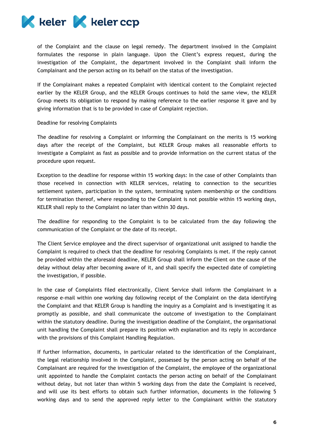

of the Complaint and the clause on legal remedy. The department involved in the Complaint formulates the response in plain language. Upon the Client's express request, during the investigation of the Complaint, the department involved in the Complaint shall inform the Complainant and the person acting on its behalf on the status of the investigation.

If the Complainant makes a repeated Complaint with identical content to the Complaint rejected earlier by the KELER Group, and the KELER Groups continues to hold the same view, the KELER Group meets its obligation to respond by making reference to the earlier response it gave and by giving information that is to be provided in case of Complaint rejection.

#### Deadline for resolving Complaints

The deadline for resolving a Complaint or informing the Complainant on the merits is 15 working days after the receipt of the Complaint, but KELER Group makes all reasonable efforts to investigate a Complaint as fast as possible and to provide information on the current status of the procedure upon request.

Exception to the deadline for response within 15 working days: In the case of other Complaints than those received in connection with KELER services, relating to connection to the securities settlement system, participation in the system, terminating system membership or the conditions for termination thereof, where responding to the Complaint is not possible within 15 working days, KELER shall reply to the Complaint no later than within 30 days.

The deadline for responding to the Complaint is to be calculated from the day following the communication of the Complaint or the date of its receipt.

The Client Service employee and the direct supervisor of organizational unit assigned to handle the Complaint is required to check that the deadline for resolving Complaints is met. If the reply cannot be provided within the aforesaid deadline, KELER Group shall inform the Client on the cause of the delay without delay after becoming aware of it, and shall specify the expected date of completing the investigation, if possible.

In the case of Complaints filed electronically, Client Service shall inform the Complainant in a response e-mail within one working day following receipt of the Complaint on the data identifying the Complaint and that KELER Group is handling the inquiry as a Complaint and is investigating it as promptly as possible, and shall communicate the outcome of investigation to the Complainant within the statutory deadline. During the investigation deadline of the Complaint, the organisational unit handling the Complaint shall prepare its position with explanation and its reply in accordance with the provisions of this Complaint Handling Regulation.

If further information, documents, in particular related to the identification of the Complainant, the legal relationship involved in the Complaint, possessed by the person acting on behalf of the Complainant are required for the investigation of the Complaint, the employee of the organizational unit appointed to handle the Complaint contacts the person acting on behalf of the Complainant without delay, but not later than within 5 working days from the date the Complaint is received, and will use its best efforts to obtain such further information, documents in the following 5 working days and to send the approved reply letter to the Complainant within the statutory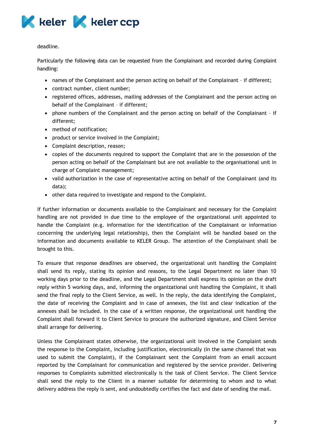

deadline.

Particularly the following data can be requested from the Complainant and recorded during Complaint handling:

- names of the Complainant and the person acting on behalf of the Complainant if different;
- contract number, client number;
- registered offices, addresses, mailing addresses of the Complainant and the person acting on behalf of the Complainant – if different;
- phone numbers of the Complainant and the person acting on behalf of the Complainant if different;
- method of notification;
- product or service involved in the Complaint;
- Complaint description, reason;
- copies of the documents required to support the Complaint that are in the possession of the person acting on behalf of the Complainant but are not available to the organisational unit in charge of Complaint management;
- valid authorization in the case of representative acting on behalf of the Complainant (and its data);
- other data required to investigate and respond to the Complaint.

If further information or documents available to the Complainant and necessary for the Complaint handling are not provided in due time to the employee of the organizational unit appointed to handle the Complaint (e.g. information for the identification of the Complainant or information concerning the underlying legal relationship), then the Complaint will be handled based on the information and documents available to KELER Group. The attention of the Complainant shall be brought to this.

To ensure that response deadlines are observed, the organizational unit handling the Complaint shall send its reply, stating its opinion and reasons, to the Legal Department no later than 10 working days prior to the deadline, and the Legal Department shall express its opinion on the draft reply within 5 working days, and, informing the organizational unit handling the Complaint, it shall send the final reply to the Client Service, as well. In the reply, the data identifying the Complaint, the date of receiving the Complaint and in case of annexes, the list and clear indication of the annexes shall be included. In the case of a written response, the organizational unit handling the Complaint shall forward it to Client Service to procure the authorized signature, and Client Service shall arrange for delivering.

Unless the Complainant states otherwise, the organizational unit involved in the Complaint sends the response to the Complaint, including justification, electronically (in the same channel that was used to submit the Complaint), if the Complainant sent the Complaint from an email account reported by the Complainant for communication and registered by the service provider. Delivering responses to Complaints submitted electronically is the task of Client Service. The Client Service shall send the reply to the Client in a manner suitable for determining to whom and to what delivery address the reply is sent, and undoubtedly certifies the fact and date of sending the mail.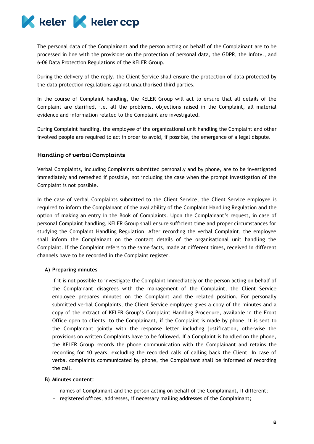

The personal data of the Complainant and the person acting on behalf of the Complainant are to be processed in line with the provisions on the protection of personal data, the GDPR, the Infotv., and 6-06 Data Protection Regulations of the KELER Group.

During the delivery of the reply, the Client Service shall ensure the protection of data protected by the data protection regulations against unauthorised third parties.

In the course of Complaint handling, the KELER Group will act to ensure that all details of the Complaint are clarified, i.e. all the problems, objections raised in the Complaint, all material evidence and information related to the Complaint are investigated.

During Complaint handling, the employee of the organizational unit handling the Complaint and other involved people are required to act in order to avoid, if possible, the emergence of a legal dispute.

### **Handling of verbal Complaints**

Verbal Complaints, including Complaints submitted personally and by phone, are to be investigated immediately and remedied if possible, not including the case when the prompt investigation of the Complaint is not possible.

In the case of verbal Complaints submitted to the Client Service, the Client Service employee is required to inform the Complainant of the availability of the Complaint Handling Regulation and the option of making an entry in the Book of Complaints. Upon the Complainant's request, in case of personal Complaint handling, KELER Group shall ensure sufficient time and proper circumstances for studying the Complaint Handling Regulation. After recording the verbal Complaint, the employee shall inform the Complainant on the contact details of the organisational unit handling the Complaint. If the Complaint refers to the same facts, made at different times, received in different channels have to be recorded in the Complaint register.

#### **A) Preparing minutes**

If it is not possible to investigate the Complaint immediately or the person acting on behalf of the Complainant disagrees with the management of the Complaint, the Client Service employee prepares minutes on the Complaint and the related position. For personally submitted verbal Complaints, the Client Service employee gives a copy of the minutes and a copy of the extract of KELER Group's Complaint Handling Procedure, available in the Front Office open to clients, to the Complainant, if the Complaint is made by phone, it is sent to the Complainant jointly with the response letter including justification, otherwise the provisions on written Complaints have to be followed. If a Complaint is handled on the phone, the KELER Group records the phone communication with the Complainant and retains the recording for 10 years, excluding the recorded calls of calling back the Client. In case of verbal complaints communicated by phone, the Complainant shall be informed of recording the call.

#### **B) Minutes content:**

- names of Complainant and the person acting on behalf of the Complainant, if different;
- registered offices, addresses, if necessary mailing addresses of the Complainant;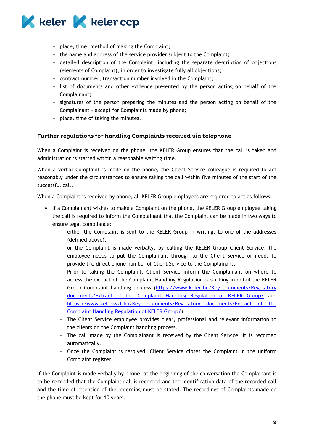

- place, time, method of making the Complaint;
- the name and address of the service provider subject to the Complaint;
- detailed description of the Complaint, including the separate description of objections (elements of Complaint), in order to investigate fully all objections;
- contract number, transaction number involved in the Complaint;
- list of documents and other evidence presented by the person acting on behalf of the Complainant;
- signatures of the person preparing the minutes and the person acting on behalf of the Complainant – except for Complaints made by phone;
- place, time of taking the minutes.

## Further regulations for handling Complaints received via telephone

When a Complaint is received on the phone, the KELER Group ensures that the call is taken and administration is started within a reasonable waiting time.

When a verbal Complaint is made on the phone, the Client Service colleague is required to act reasonably under the circumstances to ensure taking the call within five minutes of the start of the successful call.

When a Complaint is received by phone, all KELER Group employees are required to act as follows:

- If a Complainant wishes to make a Complaint on the phone, the KELER Group employee taking the call is required to inform the Complainant that the Complaint can be made in two ways to ensure legal compliance:
	- either the Complaint is sent to the KELER Group in writing, to one of the addresses (defined above),
	- or the Complaint is made verbally, by calling the KELER Group Client Service, the employee needs to put the Complainant through to the Client Service or needs to provide the direct phone number of Client Service to the Complainant.
	- Prior to taking the Complaint, Client Service inform the Complainant on where to access the extract of the Complaint Handling Regulation describing in detail the KELER Group Complaint handling process [\(https://www.keler.hu/Key documents/Regulatory](https://www.keler.hu/Key%20documents/Regulatory%20documents/Extract%20of%20the%20Complaint%20Handling%20Regulation%20of%20KELER%20Group/)  documents/Extract of the Complaint [Handling Regulation of KELER Group/](https://www.keler.hu/Key%20documents/Regulatory%20documents/Extract%20of%20the%20Complaint%20Handling%20Regulation%20of%20KELER%20Group/) and [https://www.kelerkszf.hu/Key documents/Regulatory documents/Extract of the](https://www.kelerkszf.hu/Key%20documents/Regulatory%20documents/Extract%20of%20the%20Complaint%20Handling%20Regulation%20of%20KELER%20Group/)  Complaint [Handling Regulation of KELER Group/\)](https://www.kelerkszf.hu/Key%20documents/Regulatory%20documents/Extract%20of%20the%20Complaint%20Handling%20Regulation%20of%20KELER%20Group/).
	- The Client Service employee provides clear, professional and relevant information to the clients on the Complaint handling process.
	- The call made by the Complainant is received by the Client Service, it is recorded automatically.
	- Once the Complaint is resolved, Client Service closes the Complaint in the uniform Complaint register.

If the Complaint is made verbally by phone, at the beginning of the conversation the Complainant is to be reminded that the Complaint call is recorded and the identification data of the recorded call and the time of retention of the recording must be stated. The recordings of Complaints made on the phone must be kept for 10 years.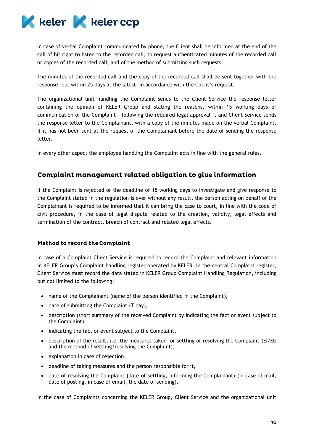

In case of verbal Complaint communicated by phone, the Client shall be informed at the end of the call of his right to listen to the recorded call, to request authenticated minutes of the recorded call or copies of the recorded call, and of the method of submitting such requests.

The minutes of the recorded call and the copy of the recorded call shall be sent together with the response, but within 25 days at the latest, in accordance with the Client's request.

The organizational unit handling the Complaint sends to the Client Service the response letter containing the opinion of KELER Group and stating the reasons, within 15 working days of communication of the Complaint – following the required legal approval –, and Client Service sends the response letter to the Complainant, with a copy of the minutes made on the verbal Complaint, if it has not been sent at the request of the Complainant before the date of sending the response letter.

In every other aspect the employee handling the Complaint acts in line with the general rules.

# Complaint management related obligation to give information

If the Complaint is rejected or the deadline of 15 working days to investigate and give response to the Complaint stated in the regulation is over without any result, the person acting on behalf of the Complainant is required to be informed that it can bring the case to court, in line with the code of civil procedure, in the case of legal dispute related to the creation, validity, legal effects and termination of the contract, breach of contract and related legal effects.

#### **Method to record the Complaint**

In case of a Complaint Client Service is required to record the Complaint and relevant information in KELER Group's Complaint handling register operated by KELER. In the central Complaint register, Client Service must record the data stated in KELER Group Complaint Handling Regulation, including but not limited to the following:

- name of the Complainant (name of the person identified in the Complaint),
- date of submitting the Complaint (T day),
- description (short summary of the received Complaint by indicating the fact or event subject to the Complaint),
- indicating the fact or event subject to the Complaint,
- description of the result, i.e. the measures taken for settling or resolving the Complaint (EI/EU and the method of settling/resolving the Complaint),
- explanation in case of rejection,
- deadline of taking measures and the person responsible for it,
- date of resolving the Complaint (date of settling, informing the Complainant) (in case of mail, date of posting, in case of email, the date of sending).

In the case of Complaints concerning the KELER Group, Client Service and the organizational unit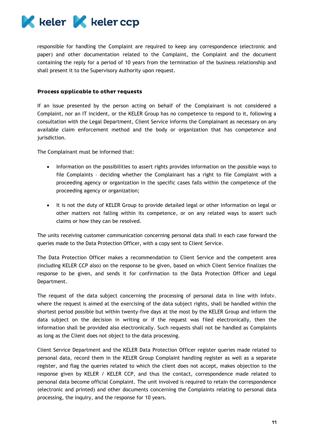

responsible for handling the Complaint are required to keep any correspondence (electronic and paper) and other documentation related to the Complaint, the Complaint and the document containing the reply for a period of 10 years from the termination of the business relationship and shall present it to the Supervisory Authority upon request.

#### Process applicable to other requests

If an issue presented by the person acting on behalf of the Complainant is not considered a Complaint, nor an IT incident, or the KELER Group has no competence to respond to it, following a consultation with the Legal Department, Client Service informs the Complainant as necessary on any available claim enforcement method and the body or organization that has competence and jurisdiction.

The Complainant must be informed that:

- Information on the possibilities to assert rights provides information on the possible ways to file Complaints – deciding whether the Complainant has a right to file Complaint with a proceeding agency or organization in the specific cases falls within the competence of the proceeding agency or organization;
- It is not the duty of KELER Group to provide detailed legal or other information on legal or other matters not falling within its competence, or on any related ways to assert such claims or how they can be resolved.

The units receiving customer communication concerning personal data shall in each case forward the queries made to the Data Protection Officer, with a copy sent to Client Service.

The Data Protection Officer makes a recommendation to Client Service and the competent area (including KELER CCP also) on the response to be given, based on which Client Service finalizes the response to be given, and sends it for confirmation to the Data Protection Officer and Legal Department.

The request of the data subject concerning the processing of personal data in line with Infotv. where the request is aimed at the exercising of the data subject rights, shall be handled within the shortest period possible but within twenty-five days at the most by the KELER Group and inform the data subject on the decision in writing or if the request was filed electronically, then the information shall be provided also electronically. Such requests shall not be handled as Complaints as long as the Client does not object to the data processing.

Client Service Department and the KELER Data Protection Officer register queries made related to personal data, record them in the KELER Group Complaint handling register as well as a separate register, and flag the queries related to which the client does not accept, makes objection to the response given by KELER / KELER CCP, and thus the contact, correspondence made related to personal data become official Complaint. The unit involved is required to retain the correspondence (electronic and printed) and other documents concerning the Complaints relating to personal data processing, the inquiry, and the response for 10 years.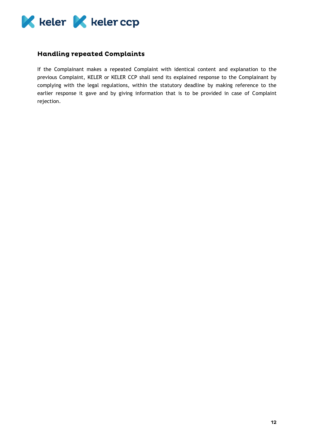

# **Handling repeated Complaints**

If the Complainant makes a repeated Complaint with identical content and explanation to the previous Complaint, KELER or KELER CCP shall send its explained response to the Complainant by complying with the legal regulations, within the statutory deadline by making reference to the earlier response it gave and by giving information that is to be provided in case of Complaint rejection.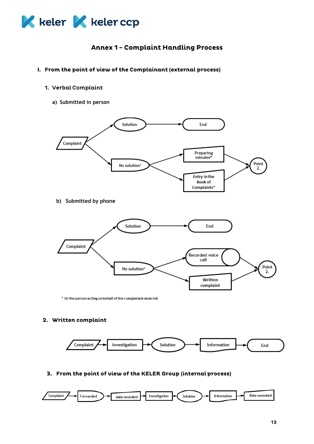

# **Annex 1 - Complaint Handling Process**

- I. From the point of view of the Complainant (external process)
	- 1. Verbal Complaint
		- **a) Submitted in person**



**b) Submitted by phone**



<sup>1</sup> Or the person acting on behalf of the complainant does not

## 2. Written complaint



3. From the point of view of the KELER Group (internal process)